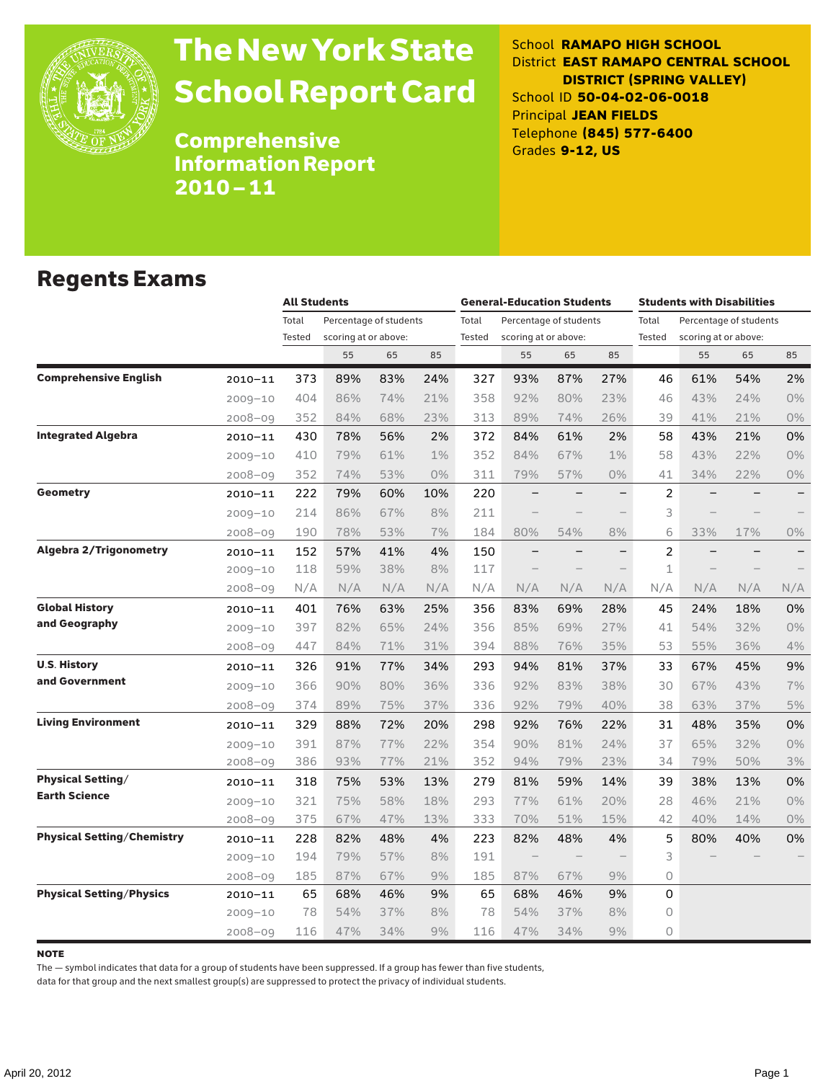

# The New York State School Report Card

School **RAMAPO HIGH SCHOOL** District **EAST RAMAPO CENTRAL SCHOOL DISTRICT (SPRING VALLEY)** School ID **50-04-02-06-0018** Principal **JEAN FIELDS** Telephone **(845) 577-6400** Grades **9-12, US**

Comprehensive Information Report 2010–11

#### Regents Exams

|                                   |             |                 | <b>All Students</b>  |                        |       |                 | <b>General-Education Students</b>              |     |                          |                 | <b>Students with Disabilities</b> |                        |                          |  |
|-----------------------------------|-------------|-----------------|----------------------|------------------------|-------|-----------------|------------------------------------------------|-----|--------------------------|-----------------|-----------------------------------|------------------------|--------------------------|--|
|                                   |             | Total<br>Tested | scoring at or above: | Percentage of students |       | Total<br>Tested | Percentage of students<br>scoring at or above: |     |                          | Total<br>Tested | scoring at or above:              | Percentage of students |                          |  |
|                                   |             |                 | 55                   | 65                     | 85    |                 | 55                                             | 65  | 85                       |                 | 55                                | 65                     | 85                       |  |
| <b>Comprehensive English</b>      | 2010-11     | 373             | 89%                  | 83%                    | 24%   | 327             | 93%                                            | 87% | 27%                      | 46              | 61%                               | 54%                    | 2%                       |  |
|                                   | $2009 - 10$ | 404             | 86%                  | 74%                    | 21%   | 358             | 92%                                            | 80% | 23%                      | 46              | 43%                               | 24%                    | 0%                       |  |
|                                   | 2008-09     | 352             | 84%                  | 68%                    | 23%   | 313             | 89%                                            | 74% | 26%                      | 39              | 41%                               | 21%                    | 0%                       |  |
| <b>Integrated Algebra</b>         | $2010 - 11$ | 430             | 78%                  | 56%                    | 2%    | 372             | 84%                                            | 61% | 2%                       | 58              | 43%                               | 21%                    | 0%                       |  |
|                                   | $2009 - 10$ | 410             | 79%                  | 61%                    | $1\%$ | 352             | 84%                                            | 67% | 1%                       | 58              | 43%                               | 22%                    | 0%                       |  |
|                                   | 2008-09     | 352             | 74%                  | 53%                    | $0\%$ | 311             | 79%                                            | 57% | 0%                       | 41              | 34%                               | 22%                    | 0%                       |  |
| <b>Geometry</b>                   | 2010-11     | 222             | 79%                  | 60%                    | 10%   | 220             | $\overline{\phantom{0}}$                       |     | $\overline{\phantom{0}}$ | $\overline{2}$  |                                   |                        |                          |  |
|                                   | $2009 - 10$ | 214             | 86%                  | 67%                    | 8%    | 211             |                                                |     |                          | 3               |                                   |                        |                          |  |
|                                   | $2008 - 09$ | 190             | 78%                  | 53%                    | 7%    | 184             | 80%                                            | 54% | 8%                       | 6               | 33%                               | 17%                    | 0%                       |  |
| <b>Algebra 2/Trigonometry</b>     | $2010 - 11$ | 152             | 57%                  | 41%                    | 4%    | 150             |                                                |     |                          | $\overline{c}$  |                                   |                        | $\overline{\phantom{0}}$ |  |
|                                   | $2009 - 10$ | 118             | 59%                  | 38%                    | 8%    | 117             | $\overline{\phantom{0}}$                       |     | $\overline{\phantom{0}}$ | 1               |                                   |                        |                          |  |
|                                   | $2008 - 09$ | N/A             | N/A                  | N/A                    | N/A   | N/A             | N/A                                            | N/A | N/A                      | N/A             | N/A                               | N/A                    | N/A                      |  |
| <b>Global History</b>             | 2010-11     | 401             | 76%                  | 63%                    | 25%   | 356             | 83%                                            | 69% | 28%                      | 45              | 24%                               | 18%                    | 0%                       |  |
| and Geography                     | $2009 - 10$ | 397             | 82%                  | 65%                    | 24%   | 356             | 85%                                            | 69% | 27%                      | 41              | 54%                               | 32%                    | 0%                       |  |
|                                   | $2008 - 09$ | 447             | 84%                  | 71%                    | 31%   | 394             | 88%                                            | 76% | 35%                      | 53              | 55%                               | 36%                    | 4%                       |  |
| <b>U.S. History</b>               | 2010-11     | 326             | 91%                  | 77%                    | 34%   | 293             | 94%                                            | 81% | 37%                      | 33              | 67%                               | 45%                    | 9%                       |  |
| and Government                    | $2009 - 10$ | 366             | 90%                  | 80%                    | 36%   | 336             | 92%                                            | 83% | 38%                      | 30              | 67%                               | 43%                    | 7%                       |  |
|                                   | $2008 - 09$ | 374             | 89%                  | 75%                    | 37%   | 336             | 92%                                            | 79% | 40%                      | 38              | 63%                               | 37%                    | $5\%$                    |  |
| <b>Living Environment</b>         | 2010-11     | 329             | 88%                  | 72%                    | 20%   | 298             | 92%                                            | 76% | 22%                      | 31              | 48%                               | 35%                    | 0%                       |  |
|                                   | $2009 - 10$ | 391             | 87%                  | 77%                    | 22%   | 354             | 90%                                            | 81% | 24%                      | 37              | 65%                               | 32%                    | 0%                       |  |
|                                   | $2008 - 09$ | 386             | 93%                  | 77%                    | 21%   | 352             | 94%                                            | 79% | 23%                      | 34              | 79%                               | 50%                    | 3%                       |  |
| <b>Physical Setting/</b>          | 2010-11     | 318             | 75%                  | 53%                    | 13%   | 279             | 81%                                            | 59% | 14%                      | 39              | 38%                               | 13%                    | 0%                       |  |
| <b>Earth Science</b>              | $2009 - 10$ | 321             | 75%                  | 58%                    | 18%   | 293             | 77%                                            | 61% | 20%                      | 28              | 46%                               | 21%                    | 0%                       |  |
|                                   | $2008 - 09$ | 375             | 67%                  | 47%                    | 13%   | 333             | 70%                                            | 51% | 15%                      | 42              | 40%                               | 14%                    | 0%                       |  |
| <b>Physical Setting/Chemistry</b> | 2010-11     | 228             | 82%                  | 48%                    | 4%    | 223             | 82%                                            | 48% | 4%                       | 5               | 80%                               | 40%                    | 0%                       |  |
|                                   | 2009-10     | 194             | 79%                  | 57%                    | 8%    | 191             |                                                |     |                          | 3               |                                   |                        |                          |  |
|                                   | 2008-09     | 185             | 87%                  | 67%                    | 9%    | 185             | 87%                                            | 67% | 9%                       | $\circ$         |                                   |                        |                          |  |
| <b>Physical Setting/Physics</b>   | 2010-11     | 65              | 68%                  | 46%                    | 9%    | 65              | 68%                                            | 46% | 9%                       | 0               |                                   |                        |                          |  |
|                                   | $2009 - 10$ | 78              | 54%                  | 37%                    | 8%    | 78              | 54%                                            | 37% | 8%                       | $\circ$         |                                   |                        |                          |  |
|                                   | $2008 - 09$ | 116             | 47%                  | 34%                    | 9%    | 116             | 47%                                            | 34% | 9%                       | $\circ$         |                                   |                        |                          |  |

#### note

The — symbol indicates that data for a group of students have been suppressed. If a group has fewer than five students,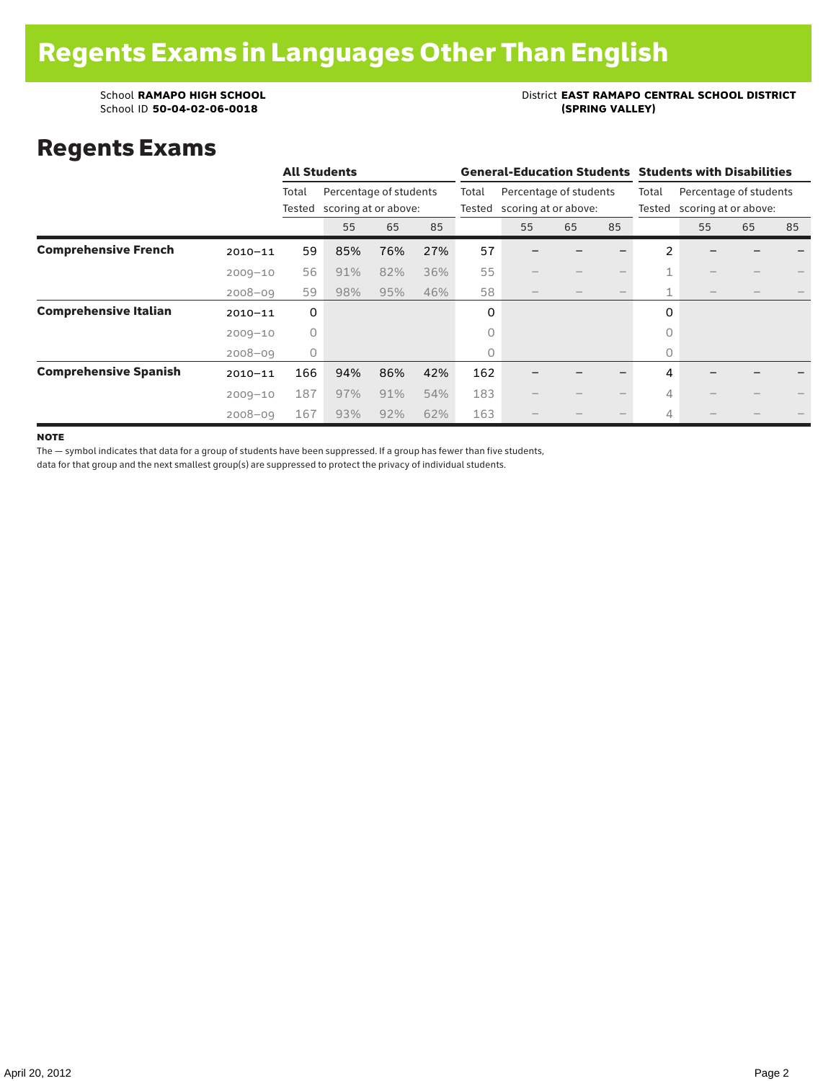### School **RAMAPO HIGH SCHOOL**<br>School ID 50-04-02-06-0018<br>(SPRING VALLEY)

### Regents Exams

|                              |             |                 | <b>All Students</b> |                                                |     |                 | <b>General-Education Students Students with Disabilities</b> |                                                |    |                 |                                                |    |    |  |  |
|------------------------------|-------------|-----------------|---------------------|------------------------------------------------|-----|-----------------|--------------------------------------------------------------|------------------------------------------------|----|-----------------|------------------------------------------------|----|----|--|--|
|                              |             | Total<br>Tested |                     | Percentage of students<br>scoring at or above: |     | Total<br>Tested |                                                              | Percentage of students<br>scoring at or above: |    | Total<br>Tested | Percentage of students<br>scoring at or above: |    |    |  |  |
|                              |             |                 | 55                  | 65                                             | 85  |                 | 55                                                           | 65                                             | 85 |                 | 55                                             | 65 | 85 |  |  |
| <b>Comprehensive French</b>  | $2010 - 11$ | 59              | 85%                 | 76%                                            | 27% | 57              |                                                              |                                                |    | $\mathfrak{p}$  |                                                |    |    |  |  |
|                              | $2009 - 10$ | 56              | 91%                 | 82%                                            | 36% | 55              |                                                              |                                                |    | $\mathbf{1}$    |                                                |    |    |  |  |
|                              | $2008 - 09$ | 59              | 98%                 | 95%                                            | 46% | 58              |                                                              |                                                |    | 1               |                                                |    |    |  |  |
| <b>Comprehensive Italian</b> | $2010 - 11$ | 0               |                     |                                                |     | 0               |                                                              |                                                |    | 0               |                                                |    |    |  |  |
|                              | $2009 - 10$ | $\circ$         |                     |                                                |     | 0               |                                                              |                                                |    | $\bigcap$       |                                                |    |    |  |  |
|                              | $2008 - 09$ | $\circ$         |                     |                                                |     | 0               |                                                              |                                                |    | $\circ$         |                                                |    |    |  |  |
| <b>Comprehensive Spanish</b> | $2010 - 11$ | 166             | 94%                 | 86%                                            | 42% | 162             |                                                              |                                                |    | 4               |                                                |    |    |  |  |
|                              | $2009 - 10$ | 187             | 97%                 | 91%                                            | 54% | 183             |                                                              |                                                |    | 4               |                                                |    |    |  |  |
|                              | $2008 - 09$ | 167             | 93%                 | 92%                                            | 62% | 163             |                                                              |                                                |    | 4               |                                                |    |    |  |  |

**NOTE** 

The — symbol indicates that data for a group of students have been suppressed. If a group has fewer than five students,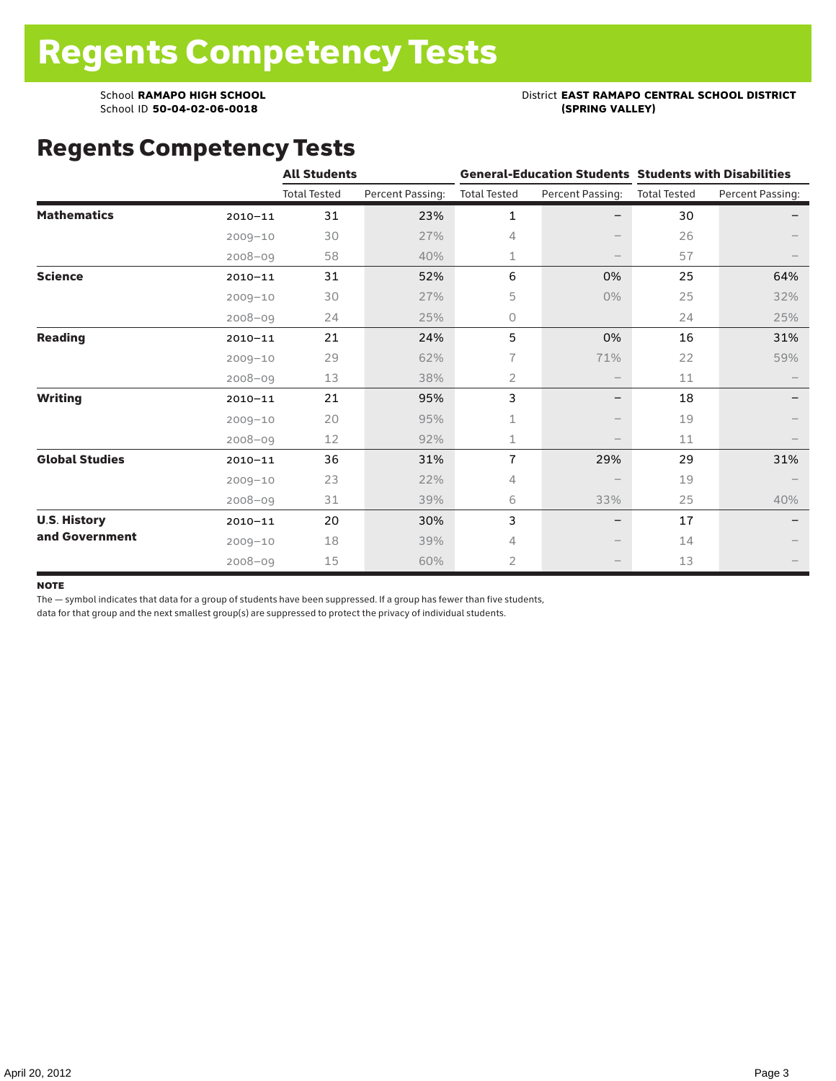# School **RAMAPO HIGH SCHOOL**<br>School ID 50-04-02-06-0018<br>(SPRING VALLEY)

### Regents Competency Tests

|                       |             | <b>All Students</b> |                  |                     |                          | <b>General-Education Students Students with Disabilities</b> |                  |  |  |
|-----------------------|-------------|---------------------|------------------|---------------------|--------------------------|--------------------------------------------------------------|------------------|--|--|
|                       |             | <b>Total Tested</b> | Percent Passing: | <b>Total Tested</b> | Percent Passing:         | <b>Total Tested</b>                                          | Percent Passing: |  |  |
| <b>Mathematics</b>    | $2010 - 11$ | 31                  | 23%              | $\mathbf{1}$        |                          | 30                                                           |                  |  |  |
|                       | $2009 - 10$ | 30                  | 27%              | 4                   |                          | 26                                                           |                  |  |  |
|                       | $2008 - 09$ | 58                  | 40%              | 1                   |                          | 57                                                           |                  |  |  |
| <b>Science</b>        | $2010 - 11$ | 31                  | 52%              | 6                   | 0%                       | 25                                                           | 64%              |  |  |
|                       | $2009 - 10$ | 30                  | 27%              | 5                   | $0\%$                    | 25                                                           | 32%              |  |  |
|                       | $2008 - 09$ | 24                  | 25%              | 0                   |                          | 24                                                           | 25%              |  |  |
| <b>Reading</b>        | $2010 - 11$ | 21                  | 24%              | 5                   | 0%                       | 16                                                           | 31%              |  |  |
|                       | $2009 - 10$ | 29                  | 62%              | 7                   | 71%                      | 22                                                           | 59%              |  |  |
|                       | $2008 - 09$ | 13                  | 38%              | $\overline{2}$      |                          | 11                                                           |                  |  |  |
| <b>Writing</b>        | $2010 - 11$ | 21                  | 95%              | 3                   | $\overline{\phantom{m}}$ | 18                                                           |                  |  |  |
|                       | $2009 - 10$ | 20                  | 95%              | 1                   |                          | 19                                                           |                  |  |  |
|                       | $2008 - 09$ | 12                  | 92%              | 1                   |                          | 11                                                           |                  |  |  |
| <b>Global Studies</b> | $2010 - 11$ | 36                  | 31%              | $\overline{1}$      | 29%                      | 29                                                           | 31%              |  |  |
|                       | $2009 - 10$ | 23                  | 22%              | 4                   |                          | 19                                                           |                  |  |  |
|                       | $2008 - 09$ | 31                  | 39%              | 6                   | 33%                      | 25                                                           | 40%              |  |  |
| <b>U.S. History</b>   | $2010 - 11$ | 20                  | 30%              | 3                   | $\qquad \qquad -$        | 17                                                           |                  |  |  |
| and Government        | $2009 - 10$ | 18                  | 39%              | 4                   |                          | 14                                                           |                  |  |  |
|                       | $2008 - 09$ | 15                  | 60%              | $\overline{2}$      |                          | 13                                                           |                  |  |  |

#### **NOTE**

The — symbol indicates that data for a group of students have been suppressed. If a group has fewer than five students,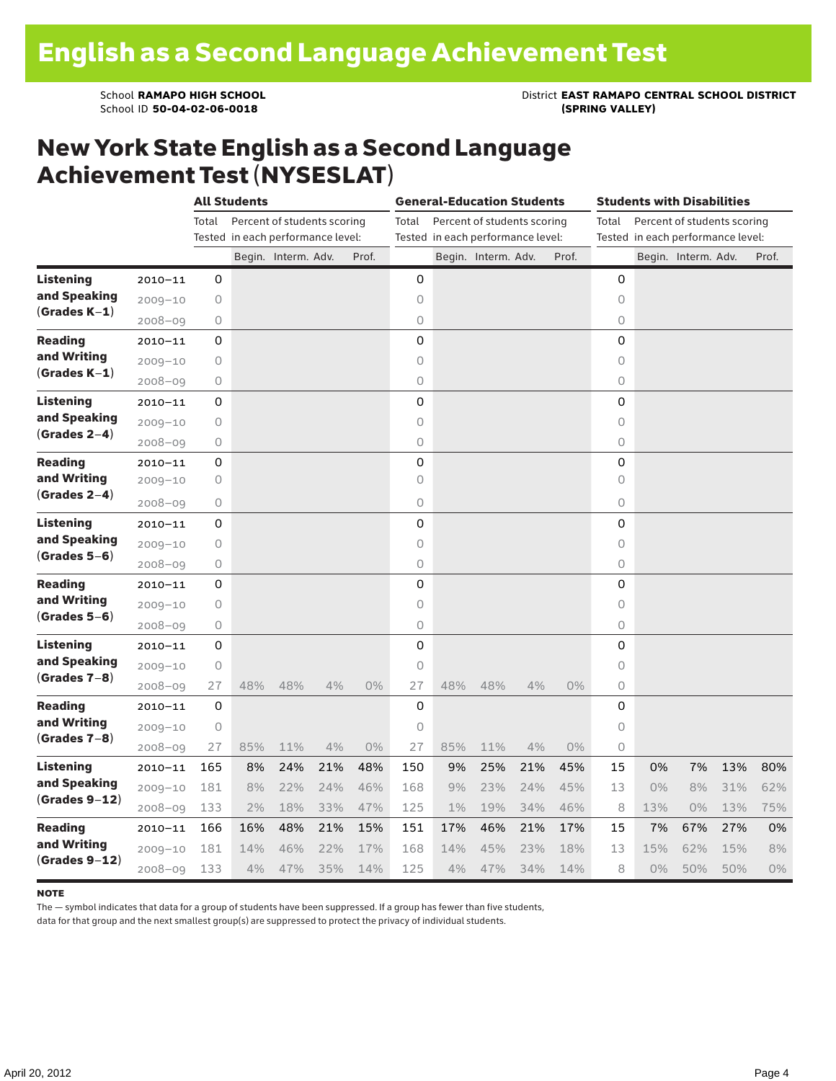School **RAMAPO HIGH SCHOOL**<br>School ID 50-04-02-06-0018<br>(SPRING VALLEY)

#### New York State English as a Second Language Achievement Test (NYSESLAT)

|                  |             |       | <b>All Students</b>               |                             |     |       |                | <b>General-Education Students</b> |                                   |     |       | <b>Students with Disabilities</b> |                                   |                     |     |       |
|------------------|-------------|-------|-----------------------------------|-----------------------------|-----|-------|----------------|-----------------------------------|-----------------------------------|-----|-------|-----------------------------------|-----------------------------------|---------------------|-----|-------|
|                  |             | Total |                                   | Percent of students scoring |     |       | Total          |                                   | Percent of students scoring       |     |       | Total                             | Percent of students scoring       |                     |     |       |
|                  |             |       | Tested in each performance level: |                             |     |       |                |                                   | Tested in each performance level: |     |       |                                   | Tested in each performance level: |                     |     |       |
|                  |             |       |                                   | Begin. Interm. Adv.         |     | Prof. |                |                                   | Begin. Interm. Adv.               |     | Prof. |                                   |                                   | Begin. Interm. Adv. |     | Prof. |
| <b>Listening</b> | $2010 - 11$ | 0     |                                   |                             |     |       | 0              |                                   |                                   |     |       | 0                                 |                                   |                     |     |       |
| and Speaking     | $2009 - 10$ | 0     |                                   |                             |     |       | $\circ$        |                                   |                                   |     |       | $\circ$                           |                                   |                     |     |       |
| $(Grades K-1)$   | $2008 - 09$ | 0     |                                   |                             |     |       | 0              |                                   |                                   |     |       | 0                                 |                                   |                     |     |       |
| <b>Reading</b>   | $2010 - 11$ | 0     |                                   |                             |     |       | 0              |                                   |                                   |     |       | 0                                 |                                   |                     |     |       |
| and Writing      | $2009 - 10$ | 0     |                                   |                             |     |       | 0              |                                   |                                   |     |       | 0                                 |                                   |                     |     |       |
| $(Grades K-1)$   | $2008 - 09$ | 0     |                                   |                             |     |       | 0              |                                   |                                   |     |       | 0                                 |                                   |                     |     |       |
| <b>Listening</b> | $2010 - 11$ | 0     |                                   |                             |     |       | 0              |                                   |                                   |     |       | 0                                 |                                   |                     |     |       |
| and Speaking     | $2009 - 10$ | 0     |                                   |                             |     |       | $\circ$        |                                   |                                   |     |       | 0                                 |                                   |                     |     |       |
| $(Grades 2-4)$   | $2008 - 09$ | 0     |                                   |                             |     |       | $\overline{O}$ |                                   |                                   |     |       | $\overline{O}$                    |                                   |                     |     |       |
| Reading          | $2010 - 11$ | 0     |                                   |                             |     |       | 0              |                                   |                                   |     |       | 0                                 |                                   |                     |     |       |
| and Writing      | $2009 - 10$ | 0     |                                   |                             |     |       | $\circ$        |                                   |                                   |     |       | 0                                 |                                   |                     |     |       |
| $(Grades 2-4)$   | $2008 - 09$ | 0     |                                   |                             |     |       | 0              |                                   |                                   |     |       | 0                                 |                                   |                     |     |       |
| Listening        | $2010 - 11$ | 0     |                                   |                             |     |       | 0              |                                   |                                   |     |       | 0                                 |                                   |                     |     |       |
| and Speaking     | $2009 - 10$ | 0     |                                   |                             |     |       | $\circ$        |                                   |                                   |     |       | 0                                 |                                   |                     |     |       |
| $(Grades 5-6)$   | $2008 - 09$ | 0     |                                   |                             |     |       | 0              |                                   |                                   |     |       | 0                                 |                                   |                     |     |       |
| <b>Reading</b>   | $2010 - 11$ | 0     |                                   |                             |     |       | 0              |                                   |                                   |     |       | 0                                 |                                   |                     |     |       |
| and Writing      | $2009 - 10$ | 0     |                                   |                             |     |       | 0              |                                   |                                   |     |       | 0                                 |                                   |                     |     |       |
| $(Grades 5-6)$   | $2008 - 09$ | 0     |                                   |                             |     |       | 0              |                                   |                                   |     |       | 0                                 |                                   |                     |     |       |
| <b>Listening</b> | $2010 - 11$ | 0     |                                   |                             |     |       | 0              |                                   |                                   |     |       | 0                                 |                                   |                     |     |       |
| and Speaking     | $2009 - 10$ | 0     |                                   |                             |     |       | $\circ$        |                                   |                                   |     |       | $\circ$                           |                                   |                     |     |       |
| $(Grades 7-8)$   | $2008 - 09$ | 27    | 48%                               | 48%                         | 4%  | 0%    | 27             | 48%                               | 48%                               | 4%  | 0%    | 0                                 |                                   |                     |     |       |
| <b>Reading</b>   | $2010 - 11$ | 0     |                                   |                             |     |       | 0              |                                   |                                   |     |       | 0                                 |                                   |                     |     |       |
| and Writing      | $2009 - 10$ | 0     |                                   |                             |     |       | $\circ$        |                                   |                                   |     |       | $\circ$                           |                                   |                     |     |       |
| $(Grades 7-8)$   | $2008 - 09$ | 27    | 85%                               | 11%                         | 4%  | 0%    | 27             | 85%                               | 11%                               | 4%  | 0%    | 0                                 |                                   |                     |     |       |
| Listening        | $2010 - 11$ | 165   | 8%                                | 24%                         | 21% | 48%   | 150            | 9%                                | 25%                               | 21% | 45%   | 15                                | 0%                                | 7%                  | 13% | 80%   |
| and Speaking     | $2009 - 10$ | 181   | 8%                                | 22%                         | 24% | 46%   | 168            | 9%                                | 23%                               | 24% | 45%   | 13                                | $0\%$                             | 8%                  | 31% | 62%   |
| $(Grades 9-12)$  | $2008 - 09$ | 133   | 2%                                | 18%                         | 33% | 47%   | 125            | $1\%$                             | 19%                               | 34% | 46%   | 8                                 | 13%                               | 0%                  | 13% | 75%   |
| <b>Reading</b>   | $2010 - 11$ | 166   | 16%                               | 48%                         | 21% | 15%   | 151            | 17%                               | 46%                               | 21% | 17%   | 15                                | 7%                                | 67%                 | 27% | 0%    |
| and Writing      | $2009 - 10$ | 181   | 14%                               | 46%                         | 22% | 17%   | 168            | 14%                               | 45%                               | 23% | 18%   | 13                                | 15%                               | 62%                 | 15% | 8%    |
| (Grades 9–12)    | $2008 - 09$ | 133   | 4%                                | 47%                         | 35% | 14%   | 125            | 4%                                | 47%                               | 34% | 14%   | 8                                 | 0%                                | 50%                 | 50% | $0\%$ |

#### note

The — symbol indicates that data for a group of students have been suppressed. If a group has fewer than five students,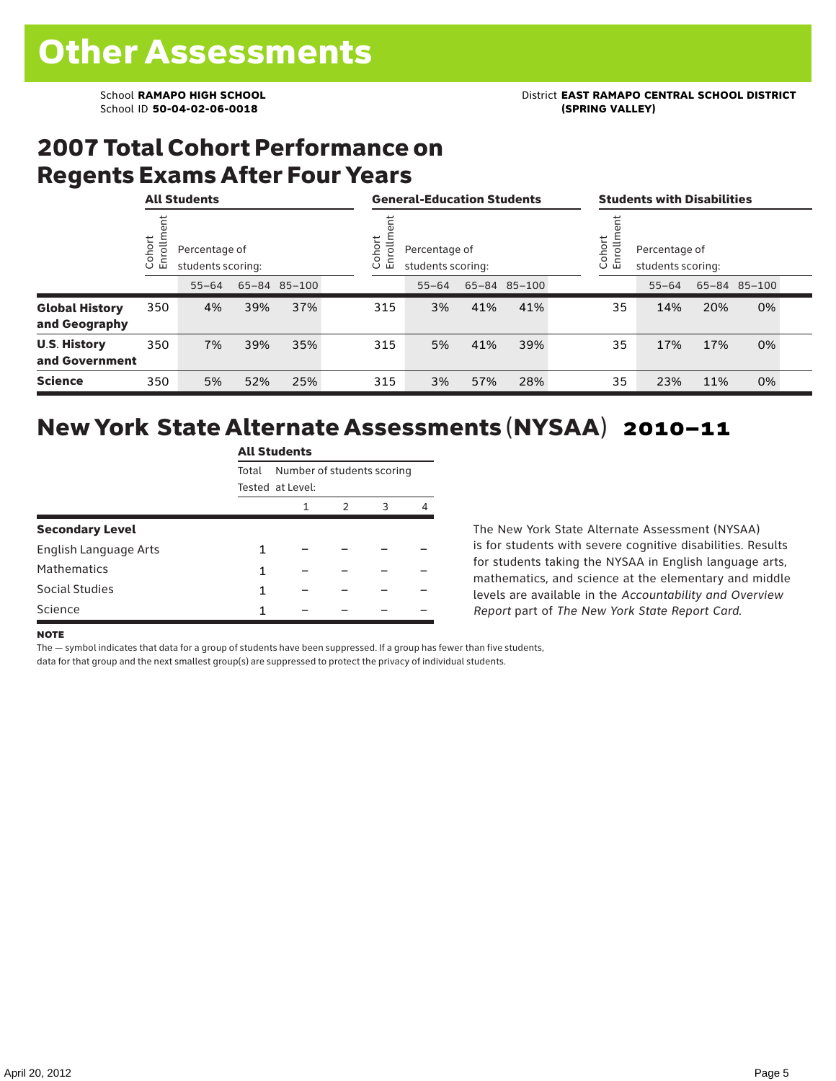### 2007 Total Cohort Performance on Regents Exams After Four Years

|                                        | <b>All Students</b> |                                    |     |              |  | <b>General-Education Students</b> |                                                                    |     |              |  | <b>Students with Disabilities</b> |                                                            |     |              |  |
|----------------------------------------|---------------------|------------------------------------|-----|--------------|--|-----------------------------------|--------------------------------------------------------------------|-----|--------------|--|-----------------------------------|------------------------------------------------------------|-----|--------------|--|
|                                        | ohort<br>o,<br>ごこ   | Percentage of<br>students scoring: |     |              |  |                                   | ohort<br>Jio.<br>Percentage of<br>屲<br>students scoring:<br>$\cup$ |     |              |  |                                   | Cohort<br>rollm<br>Percentage of<br>로<br>students scoring: |     |              |  |
|                                        |                     | $55 - 64$                          |     | 65-84 85-100 |  |                                   | $55 - 64$                                                          |     | 65-84 85-100 |  |                                   | $55 - 64$                                                  |     | 65-84 85-100 |  |
| <b>Global History</b><br>and Geography | 350                 | 4%                                 | 39% | 37%          |  | 315                               | 3%                                                                 | 41% | 41%          |  | 35                                | 14%                                                        | 20% | 0%           |  |
| <b>U.S. History</b><br>and Government  | 350                 | 7%                                 | 39% | 35%          |  | 315                               | 5%                                                                 | 41% | 39%          |  | 35                                | 17%                                                        | 17% | 0%           |  |
| <b>Science</b>                         | 350                 | 5%                                 | 52% | 25%          |  | 315                               | 3%                                                                 | 57% | 28%          |  | 35                                | 23%                                                        | 11% | 0%           |  |

### New York State Alternate Assessments (NYSAA) 2010–11

|                        |                                     | <b>All Students</b> |   |   |   |  |  |  |  |  |
|------------------------|-------------------------------------|---------------------|---|---|---|--|--|--|--|--|
|                        | Number of students scoring<br>Total |                     |   |   |   |  |  |  |  |  |
|                        |                                     | Tested at Level:    |   |   |   |  |  |  |  |  |
|                        |                                     | 1                   | 2 | 3 | 4 |  |  |  |  |  |
| <b>Secondary Level</b> |                                     |                     |   |   |   |  |  |  |  |  |
| English Language Arts  | 1                                   |                     |   |   |   |  |  |  |  |  |
| <b>Mathematics</b>     | 1                                   |                     |   |   |   |  |  |  |  |  |
| Social Studies         | 1                                   |                     |   |   |   |  |  |  |  |  |
| Science                | 1                                   |                     |   |   |   |  |  |  |  |  |

The New York State Alternate Assessment (NYSAA) is for students with severe cognitive disabilities. Results for students taking the NYSAA in English language arts, mathematics, and science at the elementary and middle levels are available in the *Accountability and Overview Report* part of *The New York State Report Card*.

#### **NOTE**

The — symbol indicates that data for a group of students have been suppressed. If a group has fewer than five students,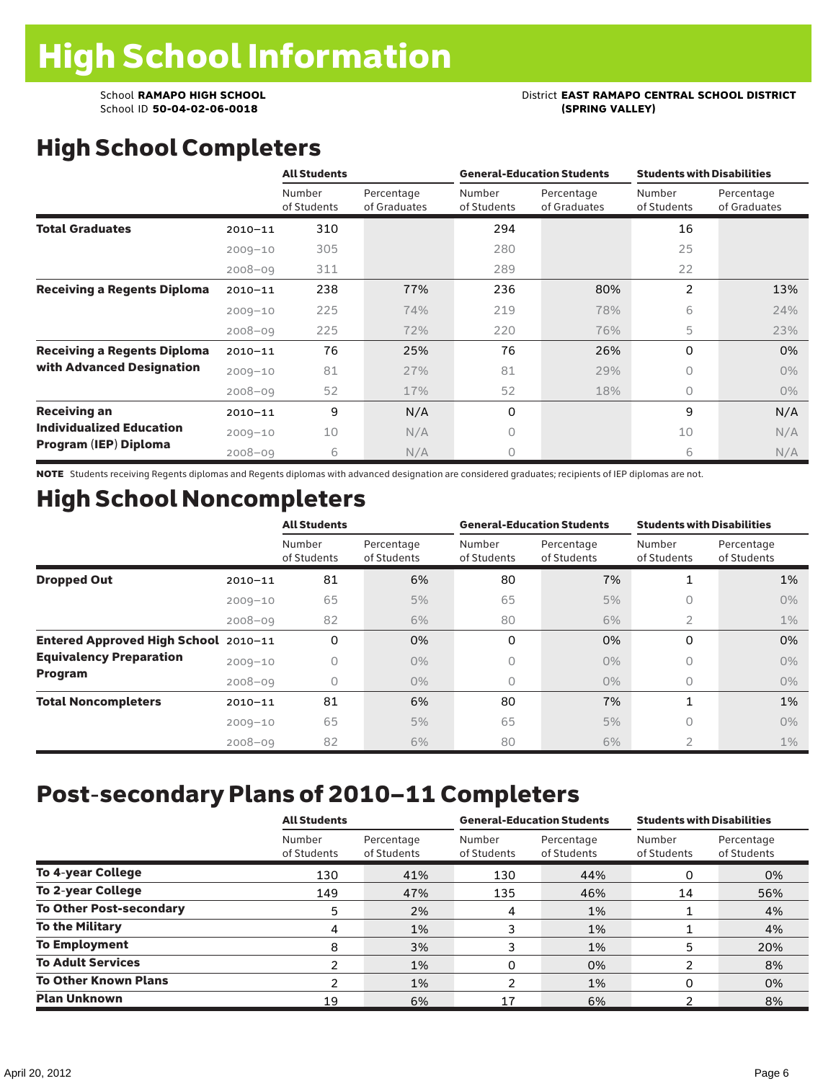# School **RAMAPO HIGH SCHOOL**<br>School ID 50-04-02-06-0018<br>(SPRING VALLEY)

# High School Completers

|                                    |             | <b>All Students</b>   |                            |                       | <b>General-Education Students</b> | <b>Students with Disabilities</b> |                            |  |  |
|------------------------------------|-------------|-----------------------|----------------------------|-----------------------|-----------------------------------|-----------------------------------|----------------------------|--|--|
|                                    |             | Number<br>of Students | Percentage<br>of Graduates | Number<br>of Students | Percentage<br>of Graduates        | Number<br>of Students             | Percentage<br>of Graduates |  |  |
| <b>Total Graduates</b>             | $2010 - 11$ | 310                   |                            | 294                   |                                   | 16                                |                            |  |  |
|                                    | $2009 - 10$ | 305                   |                            | 280                   |                                   | 25                                |                            |  |  |
|                                    | $2008 - 09$ | 311                   |                            | 289                   |                                   | 22                                |                            |  |  |
| <b>Receiving a Regents Diploma</b> | $2010 - 11$ | 238                   | 77%                        | 236                   | 80%                               | 2                                 | 13%                        |  |  |
|                                    | $2009 - 10$ | 225                   | 74%                        | 219                   | 78%                               | 6                                 | 24%                        |  |  |
|                                    | $2008 - 09$ | 225                   | 72%                        | 220                   | 76%                               | 5                                 | 23%                        |  |  |
| <b>Receiving a Regents Diploma</b> | $2010 - 11$ | 76                    | 25%                        | 76                    | 26%                               | $\Omega$                          | 0%                         |  |  |
| with Advanced Designation          | $2009 - 10$ | 81                    | 27%                        | 81                    | 29%                               | 0                                 | $0\%$                      |  |  |
|                                    | $2008 - 09$ | 52                    | 17%                        | 52                    | 18%                               | 0                                 | $0\%$                      |  |  |
| <b>Receiving an</b>                | $2010 - 11$ | 9                     | N/A                        | 0                     |                                   | 9                                 | N/A                        |  |  |
| <b>Individualized Education</b>    | $2009 - 10$ | 10                    | N/A                        | $\Omega$              |                                   | 10                                | N/A                        |  |  |
| Program (IEP) Diploma              | $2008 - 09$ | 6                     | N/A                        | $\circ$               |                                   | 6                                 | N/A                        |  |  |

NOTE Students receiving Regents diplomas and Regents diplomas with advanced designation are considered graduates; recipients of IEP diplomas are not.

## High School Noncompleters

|                                      |             | <b>All Students</b>   |                           |                       | <b>General-Education Students</b> | <b>Students with Disabilities</b> |                           |  |
|--------------------------------------|-------------|-----------------------|---------------------------|-----------------------|-----------------------------------|-----------------------------------|---------------------------|--|
|                                      |             | Number<br>of Students | Percentage<br>of Students | Number<br>of Students | Percentage<br>of Students         | Number<br>of Students             | Percentage<br>of Students |  |
| <b>Dropped Out</b>                   | $2010 - 11$ | 81                    | 6%                        | 80                    | 7%                                | 1                                 | 1%                        |  |
|                                      | $2009 - 10$ | 65                    | 5%                        | 65                    | 5%                                | 0                                 | $0\%$                     |  |
|                                      | $2008 - 09$ | 82                    | 6%                        | 80                    | 6%                                | 2                                 | $1\%$                     |  |
| Entered Approved High School 2010-11 |             | 0                     | 0%                        | 0                     | 0%                                | 0                                 | 0%                        |  |
| <b>Equivalency Preparation</b>       | $2009 - 10$ | 0                     | $0\%$                     | 0                     | $0\%$                             | 0                                 | $0\%$                     |  |
| Program                              | $2008 - 09$ | 0                     | $0\%$                     | 0                     | $0\%$                             | 0                                 | $0\%$                     |  |
| <b>Total Noncompleters</b>           | $2010 - 11$ | 81                    | 6%                        | 80                    | 7%                                | $\mathbf{1}$                      | 1%                        |  |
|                                      | $2009 - 10$ | 65                    | 5%                        | 65                    | 5%                                | 0                                 | $0\%$                     |  |
|                                      | $2008 - 09$ | 82                    | 6%                        | 80                    | 6%                                | $\overline{2}$                    | $1\%$                     |  |

# Post-secondary Plans of 2010–11 Completers

|                                | <b>All Students</b>   |                           |                       | <b>General-Education Students</b> | <b>Students with Disabilities</b> |                           |  |  |
|--------------------------------|-----------------------|---------------------------|-----------------------|-----------------------------------|-----------------------------------|---------------------------|--|--|
|                                | Number<br>of Students | Percentage<br>of Students | Number<br>of Students | Percentage<br>of Students         | Number<br>of Students             | Percentage<br>of Students |  |  |
| <b>To 4-year College</b>       | 130                   | 41%                       | 130                   | 44%                               | 0                                 | 0%                        |  |  |
| <b>To 2-year College</b>       | 149                   | 47%                       | 135                   | 46%                               | 14                                | 56%                       |  |  |
| <b>To Other Post-secondary</b> | 5                     | 2%                        | $\overline{4}$        | 1%                                |                                   | 4%                        |  |  |
| To the Military                | 4                     | 1%                        | 3                     | 1%                                |                                   | 4%                        |  |  |
| <b>To Employment</b>           | 8                     | 3%                        |                       | 1%                                | 5                                 | 20%                       |  |  |
| <b>To Adult Services</b>       |                       | 1%                        | 0                     | 0%                                | ົ                                 | 8%                        |  |  |
| <b>To Other Known Plans</b>    | າ                     | 1%                        | າ                     | 1%                                | 0                                 | 0%                        |  |  |
| <b>Plan Unknown</b>            | 19                    | 6%                        | 17                    | 6%                                |                                   | 8%                        |  |  |